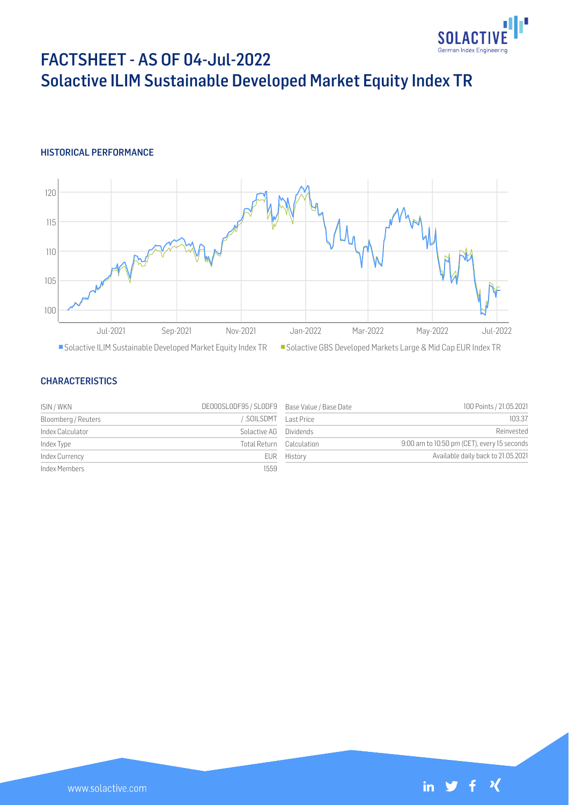

# FACTSHEET - AS OF 04-Jul-2022 Solactive ILIM Sustainable Developed Market Equity Index TR

## HISTORICAL PERFORMANCE



#### CHARACTERISTICS

| ISIN / WKN          | DE000SLODF95 / SLODF9 Base Value / Base Date |             | 100 Points / 21.05.2021                     |
|---------------------|----------------------------------------------|-------------|---------------------------------------------|
| Bloomberg / Reuters | SOILSDMT Last Price                          |             | 103.37                                      |
| Index Calculator    | Solactive AG Dividends                       |             | Reinvested                                  |
| Index Type          | Total Return Calculation                     |             | 9:00 am to 10:50 pm (CET), every 15 seconds |
| Index Currency      |                                              | EUR History | Available daily back to 21.05.2021          |
| Index Members       | 1559                                         |             |                                             |

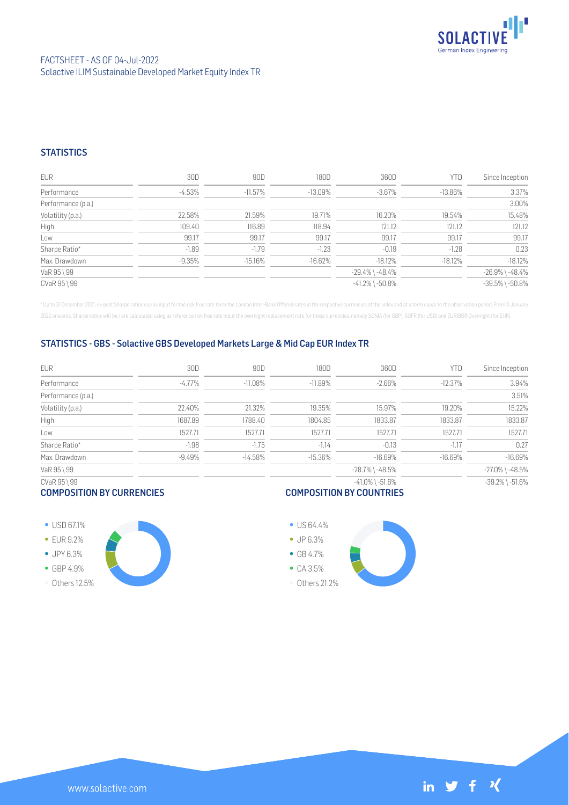

## **STATISTICS**

| <b>EUR</b>         | 30D      | 90D        | 180D       | 360D                  | YTD        | Since Inception       |
|--------------------|----------|------------|------------|-----------------------|------------|-----------------------|
| Performance        | $-4.53%$ | $-11.57\%$ | $-13.09\%$ | $-3.67\%$             | $-13.86\%$ | 3.37%                 |
| Performance (p.a.) |          |            |            |                       |            | 3.00%                 |
| Volatility (p.a.)  | 22.58%   | 21.59%     | 19.71%     | 16.20%                | 19.54%     | 15.48%                |
| High               | 109.40   | 116.89     | 118.94     | 121.12                | 121.12     | 121.12                |
| Low                | 99.17    | 99.17      | 99.17      | 99.17                 | 99.17      | 99.17                 |
| Sharpe Ratio*      | $-1.89$  | $-1.79$    | $-1.23$    | $-0.19$               | $-1.28$    | 0.23                  |
| Max. Drawdown      | $-9.35%$ | $-15.16%$  | $-16.62%$  | $-18.12%$             | $-18.12%$  | $-18.12%$             |
| VaR 95 \ 99        |          |            |            | $-29.4\%$ \ $-48.4\%$ |            | $-26.9\%$ \ $-48.4\%$ |
| CVaR 95 \ 99       |          |            |            | $-41.2\%$ \ $-50.8\%$ |            | $-39.5\%$ \ $-50.8\%$ |

\* Up to 31 December 2021, ex-post Sharpe ratios use as input for the risk free rate term the London Inter-Bank Offered rates in the respective currencies of the index and at a term equal to the observation period. From 3 J 2022 onwards, Sharpe ratios will be / are calculated using as reference risk free rate input the overnight replacement rate for these currencies, namely SONIA (for GBP), SOFR (for USD) and EURIBOR Overnight (for EUR).

### STATISTICS - GBS - Solactive GBS Developed Markets Large & Mid Cap EUR Index TR

| <b>EUR</b>         | 30D       | 90D        | 180D      | 360D                  | YTD        | Since Inception       |
|--------------------|-----------|------------|-----------|-----------------------|------------|-----------------------|
| Performance        | $-4.77\%$ | $-11.08%$  | $-11.89%$ | $-2.66%$              | $-12.37%$  | 3.94%                 |
| Performance (p.a.) |           |            |           |                       |            | 3.51%                 |
| Volatility (p.a.)  | 22.40%    | 21.32%     | 19.35%    | 15.97%                | 19.20%     | 15.22%                |
| High               | 1687.89   | 1788.40    | 1804.85   | 1833.87               | 1833.87    | 1833.87               |
| Low                | 1527.71   | 1527.71    | 1527.71   | 1527.71               | 1527.71    | 1527.71               |
| Sharpe Ratio*      | $-1.98$   | $-1.75$    | $-1.14$   | $-0.13$               | $-1.17$    | 0.27                  |
| Max. Drawdown      | $-9.49\%$ | $-14.58\%$ | $-15.36%$ | $-16.69\%$            | $-16.69\%$ | $-16.69%$             |
| VaR 95 \ 99        |           |            |           | $-28.7\%$ \ $-48.5\%$ |            | $-27.0\%$ \ $-48.5\%$ |
| CVaR 95 \ 99       |           |            |           | $-41.0\%$ \ $-51.6\%$ |            | $-39.2\%$ \ $-51.6\%$ |
|                    |           |            |           |                       |            |                       |

#### COMPOSITION BY CURRENCIES

## COMPOSITION BY COUNTRIES



Others 12.5%